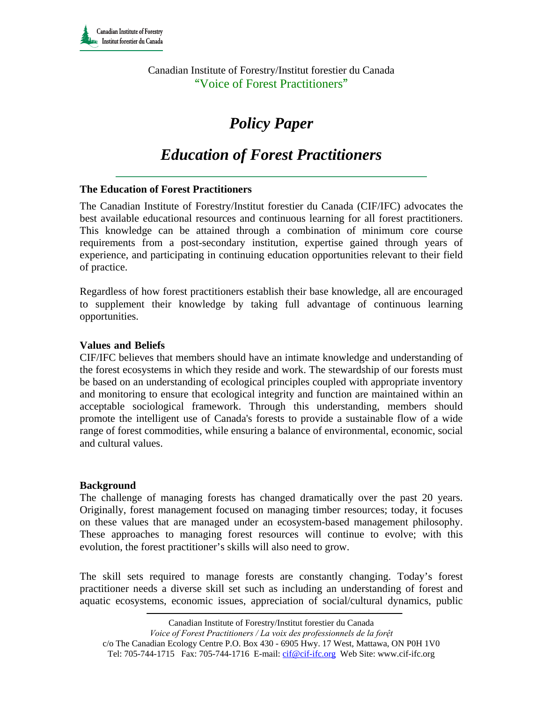Canadian Institute of Forestry/Institut forestier du Canada "Voice of Forest Practitioners"

# *Policy Paper*

# *Education of Forest Practitioners*

# **The Education of Forest Practitioners**

The Canadian Institute of Forestry/Institut forestier du Canada (CIF/IFC) advocates the best available educational resources and continuous learning for all forest practitioners. This knowledge can be attained through a combination of minimum core course requirements from a post-secondary institution, expertise gained through years of experience, and participating in continuing education opportunities relevant to their field of practice.

Regardless of how forest practitioners establish their base knowledge, all are encouraged to supplement their knowledge by taking full advantage of continuous learning opportunities.

# Values and Beliefs

CIF/IFC believes that members should have an intimate knowledge and understanding of the forest ecosystems in which they reside and work. The stewardship of our forests must be based on an understanding of ecological principles coupled with appropriate inventory and monitoring to ensure that ecological integrity and function are maintained within an acceptable sociological framework. Through this understanding, members should promote the intelligent use of Canada's forests to provide a sustainable flow of a wide range of forest commodities, while ensuring a balance of environmental, economic, social and cultural values.

#### **Background**

The challenge of managing forests has changed dramatically over the past 20 years. Originally, forest management focused on managing timber resources; today, it focuses on these values that are managed under an ecosystem-based management philosophy. These approaches to managing forest resources will continue to evolve; with this evolution, the forest practitioner's skills will also need to grow.

The skill sets required to manage forests are constantly changing. Today's forest practitioner needs a diverse skill set such as including an understanding of forest and aquatic ecosystems, economic issues, appreciation of social/cultural dynamics, public

Canadian Institute of Forestry/Institut forestier du Canada

*Voice of Forest Practitioners / La voix des professionnels de la forệt* 

c/o The Canadian Ecology Centre P.O. Box 430 - 6905 Hwy. 17 West, Mattawa, ON P0H 1V0 Tel: 705-744-1715 Fax: 705-744-1716 E-mail: cif@cif-ifc.org Web Site: www.cif-ifc.org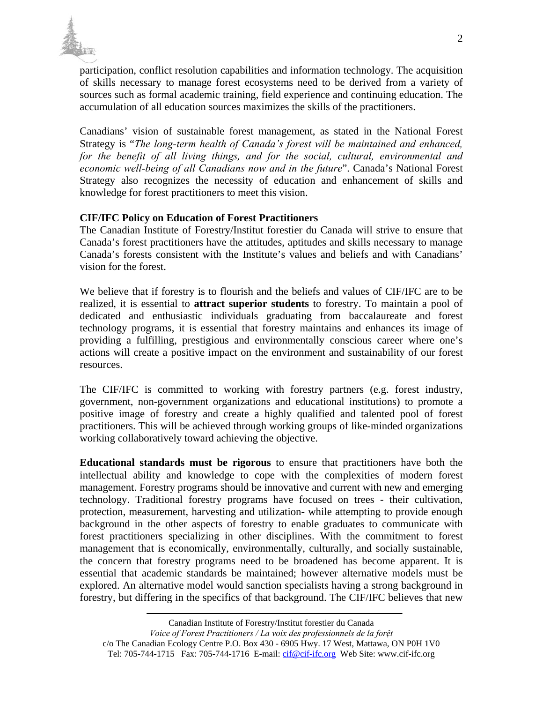

participation, conflict resolution capabilities and information technology. The acquisition of skills necessary to manage forest ecosystems need to be derived from a variety of sources such as formal academic training, field experience and continuing education. The accumulation of all education sources maximizes the skills of the practitioners.

Canadians' vision of sustainable forest management, as stated in the National Forest Strategy is "*The long-term health of Canada's forest will be maintained and enhanced, for the benefit of all living things, and for the social, cultural, environmental and economic well-being of all Canadians now and in the future*". Canada's National Forest Strategy also recognizes the necessity of education and enhancement of skills and knowledge for forest practitioners to meet this vision.

# **CIF/IFC Policy on Education of Forest Practitioners**

The Canadian Institute of Forestry/Institut forestier du Canada will strive to ensure that Canada's forest practitioners have the attitudes, aptitudes and skills necessary to manage Canada's forests consistent with the Institute's values and beliefs and with Canadians' vision for the forest.

We believe that if forestry is to flourish and the beliefs and values of CIF/IFC are to be realized, it is essential to **attract superior students** to forestry. To maintain a pool of dedicated and enthusiastic individuals graduating from baccalaureate and forest technology programs, it is essential that forestry maintains and enhances its image of providing a fulfilling, prestigious and environmentally conscious career where one's actions will create a positive impact on the environment and sustainability of our forest resources.

The CIF/IFC is committed to working with forestry partners (e.g. forest industry, government, non-government organizations and educational institutions) to promote a positive image of forestry and create a highly qualified and talented pool of forest practitioners. This will be achieved through working groups of like-minded organizations working collaboratively toward achieving the objective.

**Educational standards must be rigorous** to ensure that practitioners have both the intellectual ability and knowledge to cope with the complexities of modern forest management. Forestry programs should be innovative and current with new and emerging technology. Traditional forestry programs have focused on trees - their cultivation, protection, measurement, harvesting and utilization- while attempting to provide enough background in the other aspects of forestry to enable graduates to communicate with forest practitioners specializing in other disciplines. With the commitment to forest management that is economically, environmentally, culturally, and socially sustainable, the concern that forestry programs need to be broadened has become apparent. It is essential that academic standards be maintained; however alternative models must be explored. An alternative model would sanction specialists having a strong background in forestry, but differing in the specifics of that background. The CIF/IFC believes that new

Canadian Institute of Forestry/Institut forestier du Canada

*Voice of Forest Practitioners / La voix des professionnels de la forệt* 

c/o The Canadian Ecology Centre P.O. Box 430 - 6905 Hwy. 17 West, Mattawa, ON P0H 1V0 Tel: 705-744-1715 Fax: 705-744-1716 E-mail: cif@cif-ifc.org Web Site: www.cif-ifc.org